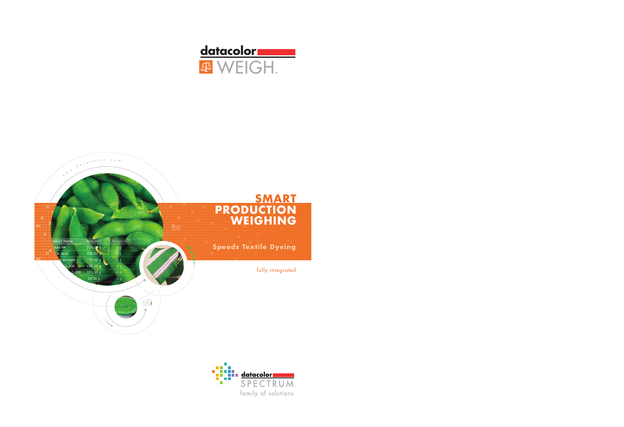

# **SMART PRODUCTION WEIGHING**

**Speeds Textile Dyeing** 

fully integrated





d a t a c o